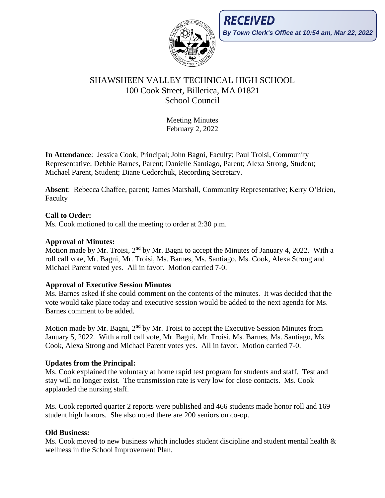

# SHAWSHEEN VALLEY TECHNICAL HIGH SCHOOL 100 Cook Street, Billerica, MA 01821 School Council

Meeting Minutes February 2, 2022

**In Attendance**: Jessica Cook, Principal; John Bagni, Faculty; Paul Troisi, Community Representative; Debbie Barnes, Parent; Danielle Santiago, Parent; Alexa Strong, Student; Michael Parent, Student; Diane Cedorchuk, Recording Secretary.

**Absent**: Rebecca Chaffee, parent; James Marshall, Community Representative; Kerry O'Brien, Faculty

# **Call to Order:**

Ms. Cook motioned to call the meeting to order at 2:30 p.m.

#### **Approval of Minutes:**

Motion made by Mr. Troisi, 2<sup>nd</sup> by Mr. Bagni to accept the Minutes of January 4, 2022. With a roll call vote, Mr. Bagni, Mr. Troisi, Ms. Barnes, Ms. Santiago, Ms. Cook, Alexa Strong and Michael Parent voted yes. All in favor. Motion carried 7-0.

### **Approval of Executive Session Minutes**

Ms. Barnes asked if she could comment on the contents of the minutes. It was decided that the vote would take place today and executive session would be added to the next agenda for Ms. Barnes comment to be added.

Motion made by Mr. Bagni, 2<sup>nd</sup> by Mr. Troisi to accept the Executive Session Minutes from January 5, 2022. With a roll call vote, Mr. Bagni, Mr. Troisi, Ms. Barnes, Ms. Santiago, Ms. Cook, Alexa Strong and Michael Parent votes yes. All in favor. Motion carried 7-0.

### **Updates from the Principal:**

Ms. Cook explained the voluntary at home rapid test program for students and staff. Test and stay will no longer exist. The transmission rate is very low for close contacts. Ms. Cook applauded the nursing staff.

Ms. Cook reported quarter 2 reports were published and 466 students made honor roll and 169 student high honors. She also noted there are 200 seniors on co-op.

### **Old Business:**

Ms. Cook moved to new business which includes student discipline and student mental health  $\&$ wellness in the School Improvement Plan.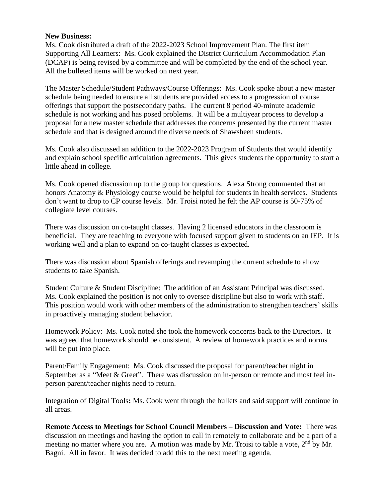#### **New Business:**

Ms. Cook distributed a draft of the 2022-2023 School Improvement Plan. The first item Supporting All Learners: Ms. Cook explained the District Curriculum Accommodation Plan (DCAP) is being revised by a committee and will be completed by the end of the school year. All the bulleted items will be worked on next year.

The Master Schedule/Student Pathways/Course Offerings: Ms. Cook spoke about a new master schedule being needed to ensure all students are provided access to a progression of course offerings that support the postsecondary paths. The current 8 period 40-minute academic schedule is not working and has posed problems. It will be a multiyear process to develop a proposal for a new master schedule that addresses the concerns presented by the current master schedule and that is designed around the diverse needs of Shawsheen students.

Ms. Cook also discussed an addition to the 2022-2023 Program of Students that would identify and explain school specific articulation agreements. This gives students the opportunity to start a little ahead in college.

Ms. Cook opened discussion up to the group for questions. Alexa Strong commented that an honors Anatomy & Physiology course would be helpful for students in health services. Students don't want to drop to CP course levels. Mr. Troisi noted he felt the AP course is 50-75% of collegiate level courses.

There was discussion on co-taught classes. Having 2 licensed educators in the classroom is beneficial. They are teaching to everyone with focused support given to students on an IEP. It is working well and a plan to expand on co-taught classes is expected.

There was discussion about Spanish offerings and revamping the current schedule to allow students to take Spanish.

Student Culture & Student Discipline: The addition of an Assistant Principal was discussed. Ms. Cook explained the position is not only to oversee discipline but also to work with staff. This position would work with other members of the administration to strengthen teachers' skills in proactively managing student behavior.

Homework Policy:Ms. Cook noted she took the homework concerns back to the Directors. It was agreed that homework should be consistent. A review of homework practices and norms will be put into place.

Parent/Family Engagement: Ms. Cook discussed the proposal for parent/teacher night in September as a "Meet & Greet". There was discussion on in-person or remote and most feel inperson parent/teacher nights need to return.

Integration of Digital Tools**:** Ms. Cook went through the bullets and said support will continue in all areas.

**Remote Access to Meetings for School Council Members – Discussion and Vote:** There was discussion on meetings and having the option to call in remotely to collaborate and be a part of a meeting no matter where you are. A motion was made by Mr. Troisi to table a vote,  $2<sup>nd</sup>$  by Mr. Bagni. All in favor. It was decided to add this to the next meeting agenda.